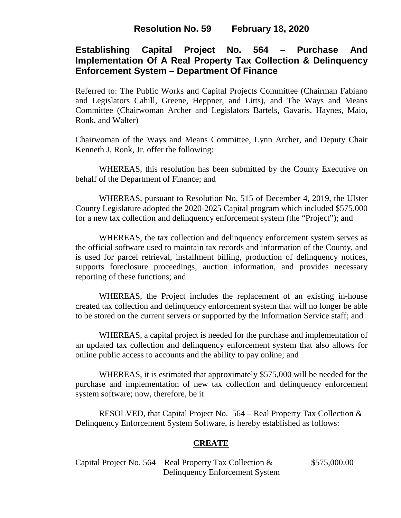# **Resolution No. 59 February 18, 2020**

# **Establishing Capital Project No. 564 – Purchase And Implementation Of A Real Property Tax Collection & Delinquency Enforcement System – Department Of Finance**

Referred to: The Public Works and Capital Projects Committee (Chairman Fabiano and Legislators Cahill, Greene, Heppner, and Litts), and The Ways and Means Committee (Chairwoman Archer and Legislators Bartels, Gavaris, Haynes, Maio, Ronk, and Walter)

Chairwoman of the Ways and Means Committee, Lynn Archer, and Deputy Chair Kenneth J. Ronk, Jr. offer the following:

WHEREAS, this resolution has been submitted by the County Executive on behalf of the Department of Finance; and

WHEREAS, pursuant to Resolution No. 515 of December 4, 2019, the Ulster County Legislature adopted the 2020-2025 Capital program which included \$575,000 for a new tax collection and delinquency enforcement system (the "Project"); and

WHEREAS, the tax collection and delinquency enforcement system serves as the official software used to maintain tax records and information of the County, and is used for parcel retrieval, installment billing, production of delinquency notices, supports foreclosure proceedings, auction information, and provides necessary reporting of these functions; and

WHEREAS, the Project includes the replacement of an existing in-house created tax collection and delinquency enforcement system that will no longer be able to be stored on the current servers or supported by the Information Service staff; and

WHEREAS, a capital project is needed for the purchase and implementation of an updated tax collection and delinquency enforcement system that also allows for online public access to accounts and the ability to pay online; and

WHEREAS, it is estimated that approximately \$575,000 will be needed for the purchase and implementation of new tax collection and delinquency enforcement system software; now, therefore, be it

RESOLVED, that Capital Project No. 564 – Real Property Tax Collection & Delinquency Enforcement System Software, is hereby established as follows:

### **CREATE**

Capital Project No. 564 Real Property Tax Collection & \$575,000.00 Delinquency Enforcement System